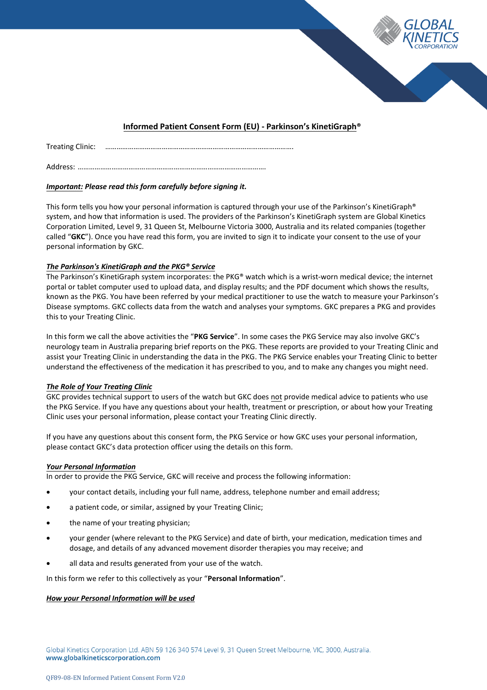

# **Informed Patient Consent Form (EU) - Parkinson's KinetiGraph®**

Treating Clinic: ……………………………………………………………………………………….

Address: ……………………………………………………………………………………….

# *Important: Please read this form carefully before signing it.*

This form tells you how your personal information is captured through your use of the Parkinson's KinetiGraph® system, and how that information is used. The providers of the Parkinson's KinetiGraph system are Global Kinetics Corporation Limited, Level 9, 31 Queen St, Melbourne Victoria 3000, Australia and its related companies (together called "**GKC**"). Once you have read this form, you are invited to sign it to indicate your consent to the use of your personal information by GKC.

# *The Parkinson's KinetiGraph and the PKG® Service*

The Parkinson's KinetiGraph system incorporates: the PKG® watch which is a wrist-worn medical device; the internet portal or tablet computer used to upload data, and display results; and the PDF document which shows the results, known as the PKG. You have been referred by your medical practitioner to use the watch to measure your Parkinson's Disease symptoms. GKC collects data from the watch and analyses your symptoms. GKC prepares a PKG and provides this to your Treating Clinic.

In this form we call the above activities the "**PKG Service**". In some cases the PKG Service may also involve GKC's neurology team in Australia preparing brief reports on the PKG. These reports are provided to your Treating Clinic and assist your Treating Clinic in understanding the data in the PKG. The PKG Service enables your Treating Clinic to better understand the effectiveness of the medication it has prescribed to you, and to make any changes you might need.

# *The Role of Your Treating Clinic*

GKC provides technical support to users of the watch but GKC does not provide medical advice to patients who use the PKG Service. If you have any questions about your health, treatment or prescription, or about how your Treating Clinic uses your personal information, please contact your Treating Clinic directly.

If you have any questions about this consent form, the PKG Service or how GKC uses your personal information, please contact GKC's data protection officer using the details on this form.

# *Your Personal Information*

In order to provide the PKG Service, GKC will receive and process the following information:

- your contact details, including your full name, address, telephone number and email address;
- a patient code, or similar, assigned by your Treating Clinic;
- the name of your treating physician;
- your gender (where relevant to the PKG Service) and date of birth, your medication, medication times and dosage, and details of any advanced movement disorder therapies you may receive; and
- all data and results generated from your use of the watch.

In this form we refer to this collectively as your "**Personal Information**".

# *How your Personal Information will be used*

Global Kinetics Corporation Ltd. ABN 59 126 340 574 Level 9, 31 Queen Street Melbourne, VIC, 3000, Australia. www.globalkineticscorporation.com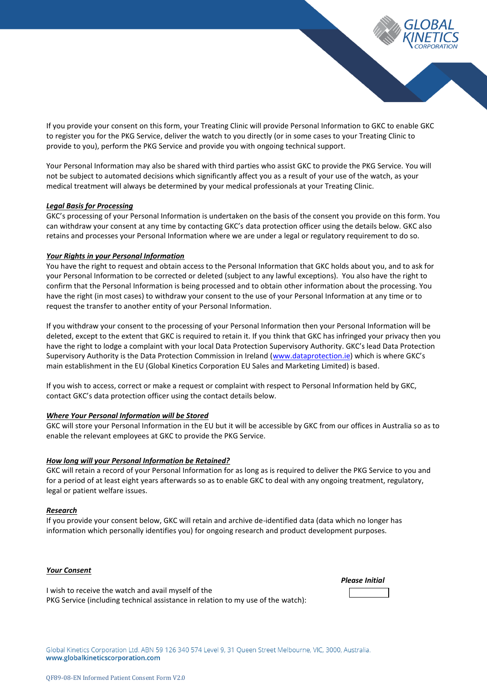

If you provide your consent on this form, your Treating Clinic will provide Personal Information to GKC to enable GKC to register you for the PKG Service, deliver the watch to you directly (or in some cases to your Treating Clinic to provide to you), perform the PKG Service and provide you with ongoing technical support.

Your Personal Information may also be shared with third parties who assist GKC to provide the PKG Service. You will not be subject to automated decisions which significantly affect you as a result of your use of the watch, as your medical treatment will always be determined by your medical professionals at your Treating Clinic.

#### *Legal Basis for Processing*

GKC's processing of your Personal Information is undertaken on the basis of the consent you provide on this form. You can withdraw your consent at any time by contacting GKC's data protection officer using the details below. GKC also retains and processes your Personal Information where we are under a legal or regulatory requirement to do so.

### *Your Rights in your Personal Information*

You have the right to request and obtain access to the Personal Information that GKC holds about you, and to ask for your Personal Information to be corrected or deleted (subject to any lawful exceptions). You also have the right to confirm that the Personal Information is being processed and to obtain other information about the processing. You have the right (in most cases) to withdraw your consent to the use of your Personal Information at any time or to request the transfer to another entity of your Personal Information.

If you withdraw your consent to the processing of your Personal Information then your Personal Information will be deleted, except to the extent that GKC is required to retain it. If you think that GKC has infringed your privacy then you have the right to lodge a complaint with your local Data Protection Supervisory Authority. GKC's lead Data Protection Supervisory Authority is the Data Protection Commission in Ireland [\(www.dataprotection.ie](http://www.dataprotection.ie/)) which is where GKC's main establishment in the EU (Global Kinetics Corporation EU Sales and Marketing Limited) is based.

If you wish to access, correct or make a request or complaint with respect to Personal Information held by GKC, contact GKC's data protection officer using the contact details below.

#### *Where Your Personal Information will be Stored*

GKC will store your Personal Information in the EU but it will be accessible by GKC from our offices in Australia so as to enable the relevant employees at GKC to provide the PKG Service.

### *How long will your Personal Information be Retained?*

GKC will retain a record of your Personal Information for as long as is required to deliver the PKG Service to you and for a period of at least eight years afterwards so as to enable GKC to deal with any ongoing treatment, regulatory, legal or patient welfare issues.

#### *Research*

If you provide your consent below, GKC will retain and archive de-identified data (data which no longer has information which personally identifies you) for ongoing research and product development purposes.

#### *Your Consent*

I wish to receive the watch and avail myself of the PKG Service (including technical assistance in relation to my use of the watch): *Please Initial* 

Global Kinetics Corporation Ltd. ABN 59 126 340 574 Level 9, 31 Queen Street Melbourne, VIC, 3000, Australia. www.globalkineticscorporation.com